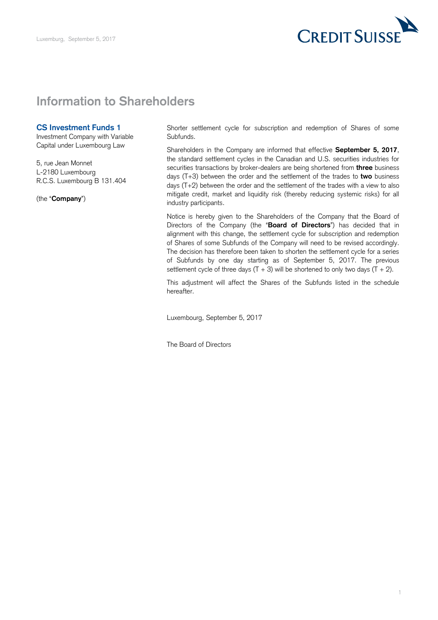

## **Information to Shareholders**

## **CS Investment Funds 1**

Investment Company with Variable Capital under Luxembourg Law

 5, rue Jean Monnet L-2180 Luxembourg R.C.S. Luxembourg B 131.404

(the "**Company**")

 Shorter settlement cycle for subscription and redemption of Shares of some Subfunds.

 Shareholders in the Company are informed that effective **September 5, 2017**, the standard settlement cycles in the Canadian and U.S. securities industries for securities transactions by broker-dealers are being shortened from **three** business days (T+3) between the order and the settlement of the trades to **two** business days (T+2) between the order and the settlement of the trades with a view to also mitigate credit, market and liquidity risk (thereby reducing systemic risks) for all industry participants.

 Notice is hereby given to the Shareholders of the Company that the Board of Directors of the Company (the "**Board of Directors**") has decided that in alignment with this change, the settlement cycle for subscription and redemption of Shares of some Subfunds of the Company will need to be revised accordingly. The decision has therefore been taken to shorten the settlement cycle for a series of Subfunds by one day starting as of September 5, 2017. The previous settlement cycle of three days  $(T + 3)$  will be shortened to only two days  $(T + 2)$ .

 This adjustment will affect the Shares of the Subfunds listed in the schedule hereafter.

Luxembourg, September 5, 2017

The Board of Directors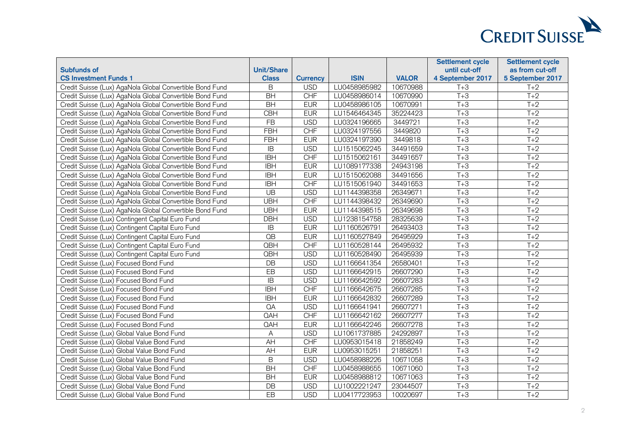

|                                                          |                   |                 |              |              | <b>Settlement cycle</b> | <b>Settlement cycle</b> |
|----------------------------------------------------------|-------------------|-----------------|--------------|--------------|-------------------------|-------------------------|
| <b>Subfunds of</b>                                       | <b>Unit/Share</b> |                 |              |              | until cut-off           | as from cut-off         |
| <b>CS Investment Funds 1</b>                             | <b>Class</b>      | <b>Currency</b> | <b>ISIN</b>  | <b>VALOR</b> | 4 September 2017        | 5 September 2017        |
| Credit Suisse (Lux) AgaNola Global Convertible Bond Fund | $\sf B$           | <b>USD</b>      | LU0458985982 | 10670988     | $T+3$                   | $T+2$                   |
| Credit Suisse (Lux) AgaNola Global Convertible Bond Fund | <b>BH</b>         | <b>CHF</b>      | LU0458986014 | 10670990     | $T+3$                   | $T+2$                   |
| Credit Suisse (Lux) AgaNola Global Convertible Bond Fund | <b>BH</b>         | <b>EUR</b>      | LU0458986105 | 10670991     | $T+3$                   | $T+2$                   |
| Credit Suisse (Lux) AgaNola Global Convertible Bond Fund | <b>CBH</b>        | <b>EUR</b>      | LU1546464345 | 35224423     | $T+3$                   | $T+2$                   |
| Credit Suisse (Lux) AgaNola Global Convertible Bond Fund | $\overline{FB}$   | <b>USD</b>      | LU0324196665 | 3449721      | $T+3$                   | $T+2$                   |
| Credit Suisse (Lux) AgaNola Global Convertible Bond Fund | FBH               | CHF             | LU0324197556 | 3449820      | $T+3$                   | $T+2$                   |
| Credit Suisse (Lux) AgaNola Global Convertible Bond Fund | <b>FBH</b>        | <b>EUR</b>      | LU0324197390 | 3449818      | $T+3$                   | $T+2$                   |
| Credit Suisse (Lux) AgaNola Global Convertible Bond Fund | IB                | <b>USD</b>      | LU1515062245 | 34491659     | $T+3$                   | $T+2$                   |
| Credit Suisse (Lux) AgaNola Global Convertible Bond Fund | <b>IBH</b>        | CHF             | LU1515062161 | 34491657     | $T+3$                   | $T+2$                   |
| Credit Suisse (Lux) AgaNola Global Convertible Bond Fund | <b>IBH</b>        | <b>EUR</b>      | LU1089177338 | 24943198     | $T+3$                   | $T+2$                   |
| Credit Suisse (Lux) AgaNola Global Convertible Bond Fund | <b>IBH</b>        | <b>EUR</b>      | LU1515062088 | 34491656     | $T+3$                   | $T+2$                   |
| Credit Suisse (Lux) AgaNola Global Convertible Bond Fund | <b>IBH</b>        | <b>CHF</b>      | LU1515061940 | 34491653     | $T+3$                   | $T+2$                   |
| Credit Suisse (Lux) AgaNola Global Convertible Bond Fund | UB                | <b>USD</b>      | LU1144398358 | 26349671     | $T+3$                   | $T+2$                   |
| Credit Suisse (Lux) AgaNola Global Convertible Bond Fund | <b>UBH</b>        | <b>CHF</b>      | LU1144398432 | 26349690     | $T+3$                   | $T+2$                   |
| Credit Suisse (Lux) AgaNola Global Convertible Bond Fund | <b>UBH</b>        | <b>EUR</b>      | LU1144398515 | 26349698     | $T+3$                   | $T+2$                   |
| Credit Suisse (Lux) Contingent Capital Euro Fund         | <b>DBH</b>        | <b>USD</b>      | LU1238154758 | 28325639     | $T+3$                   | $T+2$                   |
| Credit Suisse (Lux) Contingent Capital Euro Fund         | $\mathsf{IB}$     | <b>EUR</b>      | LU1160526791 | 26493403     | $T+3$                   | $T+2$                   |
| Credit Suisse (Lux) Contingent Capital Euro Fund         | $\overline{OB}$   | <b>EUR</b>      | LU1160527849 | 26495929     | $T+3$                   | $T+2$                   |
| Credit Suisse (Lux) Contingent Capital Euro Fund         | <b>QBH</b>        | <b>CHF</b>      | LU1160528144 | 26495932     | $T+3$                   | $T+2$                   |
| Credit Suisse (Lux) Contingent Capital Euro Fund         | <b>QBH</b>        | <b>USD</b>      | LU1160528490 | 26495939     | $T+3$                   | $T+2$                   |
| Credit Suisse (Lux) Focused Bond Fund                    | <b>DB</b>         | <b>USD</b>      | LU1166641354 | 26580401     | $T+3$                   | $T+2$                   |
| Credit Suisse (Lux) Focused Bond Fund                    | EB                | <b>USD</b>      | LU1166642915 | 26607290     | $T+3$                   | $T+2$                   |
| Credit Suisse (Lux) Focused Bond Fund                    | $\overline{B}$    | <b>USD</b>      | LU1166642592 | 26607283     | $T+3$                   | $T+2$                   |
| Credit Suisse (Lux) Focused Bond Fund                    | <b>IBH</b>        | <b>CHF</b>      | LU1166642675 | 26607285     | $T+3$                   | $T+2$                   |
| Credit Suisse (Lux) Focused Bond Fund                    | <b>IBH</b>        | <b>EUR</b>      | LU1166642832 | 26607289     | $T+3$                   | $T+2$                   |
| Credit Suisse (Lux) Focused Bond Fund                    | QA                | <b>USD</b>      | LU1166641941 | 26607271     | $T+3$                   | $T+2$                   |
| Credit Suisse (Lux) Focused Bond Fund                    | QAH               | <b>CHF</b>      | LU1166642162 | 26607277     | $T+3$                   | $T+2$                   |
| Credit Suisse (Lux) Focused Bond Fund                    | QAH               | <b>EUR</b>      | LU1166642246 | 26607278     | $T+3$                   | $T+2$                   |
| Credit Suisse (Lux) Global Value Bond Fund               | A                 | <b>USD</b>      | LU1061737885 | 24292897     | $T+3$                   | $T+2$                   |
| Credit Suisse (Lux) Global Value Bond Fund               | AH                | <b>CHF</b>      | LU0953015418 | 21858249     | $T+3$                   | $T+2$                   |
| Credit Suisse (Lux) Global Value Bond Fund               | $\overline{AH}$   | <b>EUR</b>      | LU0953015251 | 21858251     | $T+3$                   | $T+2$                   |
| Credit Suisse (Lux) Global Value Bond Fund               | $\mathsf B$       | <b>USD</b>      | LU0458988226 | 10671058     | $T+3$                   | $T+2$                   |
| Credit Suisse (Lux) Global Value Bond Fund               | <b>BH</b>         | <b>CHF</b>      | LU0458988655 | 10671060     | $T+3$                   | $T+2$                   |
| Credit Suisse (Lux) Global Value Bond Fund               | <b>BH</b>         | <b>EUR</b>      | LU0458988812 | 10671063     | $T+3$                   | $T+2$                   |
| Credit Suisse (Lux) Global Value Bond Fund               | DB                | <b>USD</b>      | LU1002221247 | 23044507     | $T+3$                   | $T+2$                   |
| Credit Suisse (Lux) Global Value Bond Fund               | $E$ B             | <b>USD</b>      | LU0417723953 | 10020697     | $T+3$                   | $T+2$                   |